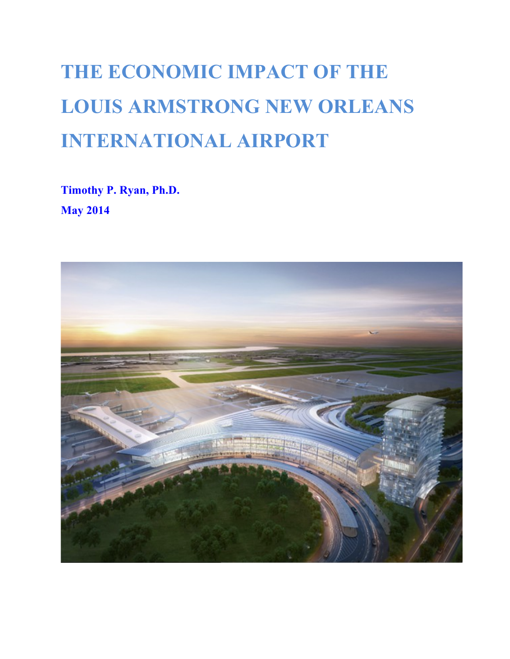# **THE ECONOMIC IMPACT OF THE LOUIS ARMSTRONG NEW ORLEANS INTERNATIONAL AIRPORT**

**Timothy P. Ryan, Ph.D. May 2014**

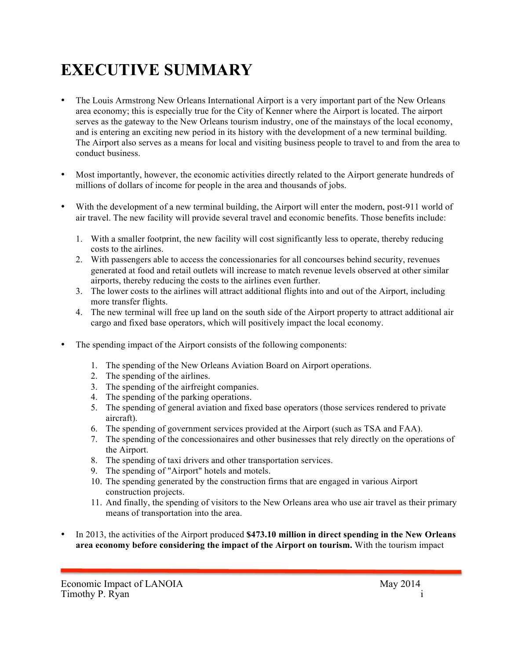## **EXECUTIVE SUMMARY**

- The Louis Armstrong New Orleans International Airport is a very important part of the New Orleans area economy; this is especially true for the City of Kenner where the Airport is located. The airport serves as the gateway to the New Orleans tourism industry, one of the mainstays of the local economy, and is entering an exciting new period in its history with the development of a new terminal building. The Airport also serves as a means for local and visiting business people to travel to and from the area to conduct business.
- Most importantly, however, the economic activities directly related to the Airport generate hundreds of millions of dollars of income for people in the area and thousands of jobs.
- With the development of a new terminal building, the Airport will enter the modern, post-911 world of air travel. The new facility will provide several travel and economic benefits. Those benefits include:
	- 1. With a smaller footprint, the new facility will cost significantly less to operate, thereby reducing costs to the airlines.
	- 2. With passengers able to access the concessionaries for all concourses behind security, revenues generated at food and retail outlets will increase to match revenue levels observed at other similar airports, thereby reducing the costs to the airlines even further.
	- 3. The lower costs to the airlines will attract additional flights into and out of the Airport, including more transfer flights.
	- 4. The new terminal will free up land on the south side of the Airport property to attract additional air cargo and fixed base operators, which will positively impact the local economy.
- The spending impact of the Airport consists of the following components:
	- 1. The spending of the New Orleans Aviation Board on Airport operations.
	- 2. The spending of the airlines.
	- 3. The spending of the airfreight companies.
	- 4. The spending of the parking operations.
	- 5. The spending of general aviation and fixed base operators (those services rendered to private aircraft).
	- 6. The spending of government services provided at the Airport (such as TSA and FAA).
	- 7. The spending of the concessionaires and other businesses that rely directly on the operations of the Airport.
	- 8. The spending of taxi drivers and other transportation services.
	- 9. The spending of "Airport" hotels and motels.
	- 10. The spending generated by the construction firms that are engaged in various Airport construction projects.
	- 11. And finally, the spending of visitors to the New Orleans area who use air travel as their primary means of transportation into the area.
- In 2013, the activities of the Airport produced **\$473.10 million in direct spending in the New Orleans area economy before considering the impact of the Airport on tourism.** With the tourism impact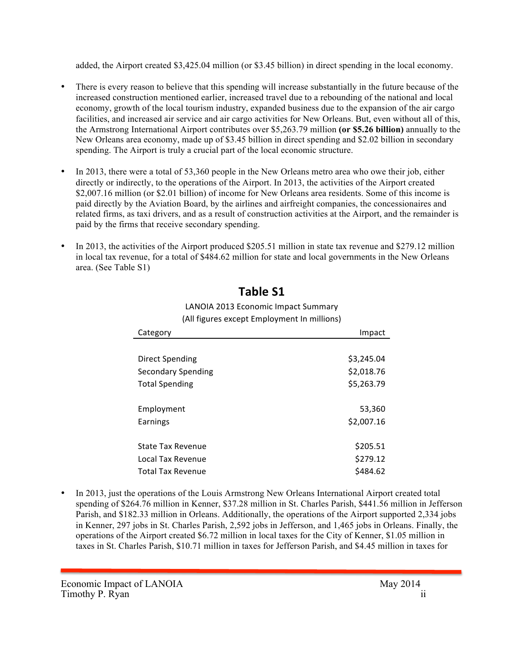added, the Airport created \$3,425.04 million (or \$3.45 billion) in direct spending in the local economy.

- There is every reason to believe that this spending will increase substantially in the future because of the increased construction mentioned earlier, increased travel due to a rebounding of the national and local economy, growth of the local tourism industry, expanded business due to the expansion of the air cargo facilities, and increased air service and air cargo activities for New Orleans. But, even without all of this, the Armstrong International Airport contributes over \$5,263.79 million **(or \$5.26 billion)** annually to the New Orleans area economy, made up of \$3.45 billion in direct spending and \$2.02 billion in secondary spending. The Airport is truly a crucial part of the local economic structure.
- In 2013, there were a total of 53,360 people in the New Orleans metro area who owe their job, either directly or indirectly, to the operations of the Airport. In 2013, the activities of the Airport created \$2,007.16 million (or \$2.01 billion) of income for New Orleans area residents. Some of this income is paid directly by the Aviation Board, by the airlines and airfreight companies, the concessionaires and related firms, as taxi drivers, and as a result of construction activities at the Airport, and the remainder is paid by the firms that receive secondary spending.
- In 2013, the activities of the Airport produced \$205.51 million in state tax revenue and \$279.12 million in local tax revenue, for a total of \$484.62 million for state and local governments in the New Orleans area. (See Table S1)

| Category                  | Impact     |
|---------------------------|------------|
|                           |            |
| Direct Spending           | \$3,245.04 |
| <b>Secondary Spending</b> | \$2,018.76 |
| <b>Total Spending</b>     | \$5,263.79 |
|                           |            |
| Employment                | 53,360     |
| Earnings                  | \$2,007.16 |
|                           |            |
| State Tax Revenue         | \$205.51   |
| Local Tax Revenue         | \$279.12   |
| <b>Total Tax Revenue</b>  | \$484.62   |

## **Table S1**

#### LANOIA 2013 Economic Impact Summary (All figures except Employment In millions)

• In 2013, just the operations of the Louis Armstrong New Orleans International Airport created total spending of \$264.76 million in Kenner, \$37.28 million in St. Charles Parish, \$441.56 million in Jefferson Parish, and \$182.33 million in Orleans. Additionally, the operations of the Airport supported 2,334 jobs in Kenner, 297 jobs in St. Charles Parish, 2,592 jobs in Jefferson, and 1,465 jobs in Orleans. Finally, the operations of the Airport created \$6.72 million in local taxes for the City of Kenner, \$1.05 million in taxes in St. Charles Parish, \$10.71 million in taxes for Jefferson Parish, and \$4.45 million in taxes for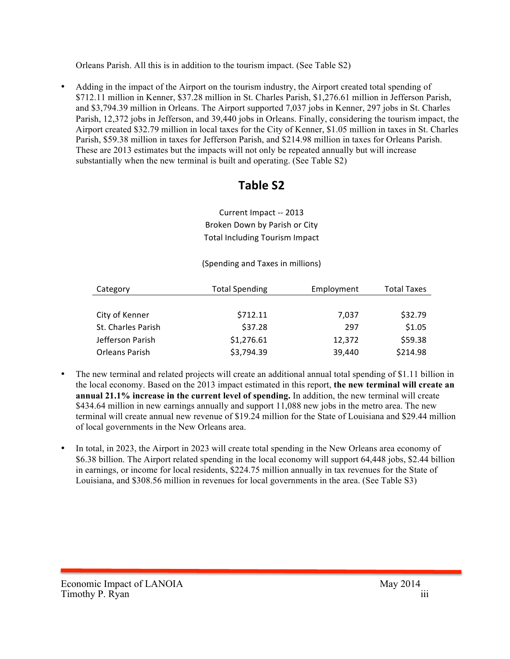Orleans Parish. All this is in addition to the tourism impact. (See Table S2)

• Adding in the impact of the Airport on the tourism industry, the Airport created total spending of \$712.11 million in Kenner, \$37.28 million in St. Charles Parish, \$1,276.61 million in Jefferson Parish, and \$3,794.39 million in Orleans. The Airport supported 7,037 jobs in Kenner, 297 jobs in St. Charles Parish, 12,372 jobs in Jefferson, and 39,440 jobs in Orleans. Finally, considering the tourism impact, the Airport created \$32.79 million in local taxes for the City of Kenner, \$1.05 million in taxes in St. Charles Parish, \$59.38 million in taxes for Jefferson Parish, and \$214.98 million in taxes for Orleans Parish. These are 2013 estimates but the impacts will not only be repeated annually but will increase substantially when the new terminal is built and operating. (See Table S2)

## **Table S2**

Current Impact -- 2013 Broken Down by Parish or City Total Including Tourism Impact

(Spending and Taxes in millions)

| Category           | <b>Total Spending</b> | Employment | <b>Total Taxes</b> |
|--------------------|-----------------------|------------|--------------------|
|                    |                       |            |                    |
| City of Kenner     | \$712.11              | 7,037      | \$32.79            |
| St. Charles Parish | \$37.28               | 297        | \$1.05             |
| Jefferson Parish   | \$1,276.61            | 12,372     | \$59.38            |
| Orleans Parish     | \$3,794.39            | 39,440     | \$214.98           |

- The new terminal and related projects will create an additional annual total spending of \$1.11 billion in the local economy. Based on the 2013 impact estimated in this report, **the new terminal will create an annual 21.1% increase in the current level of spending.** In addition, the new terminal will create \$434.64 million in new earnings annually and support 11,088 new jobs in the metro area. The new terminal will create annual new revenue of \$19.24 million for the State of Louisiana and \$29.44 million of local governments in the New Orleans area.
- In total, in 2023, the Airport in 2023 will create total spending in the New Orleans area economy of \$6.38 billion. The Airport related spending in the local economy will support 64,448 jobs, \$2.44 billion in earnings, or income for local residents, \$224.75 million annually in tax revenues for the State of Louisiana, and \$308.56 million in revenues for local governments in the area. (See Table S3)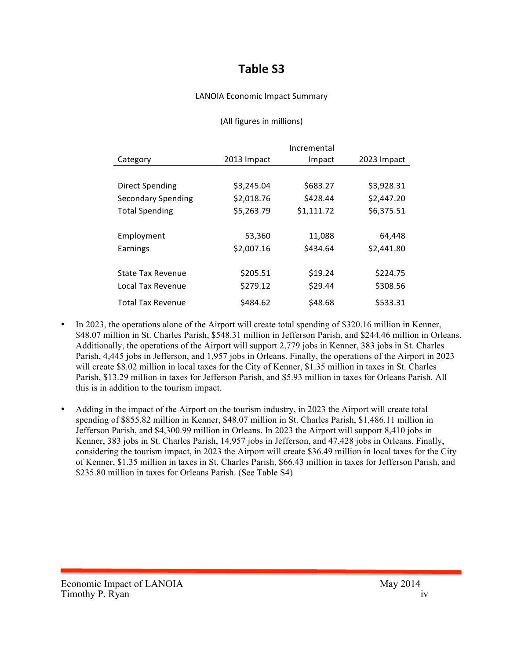## **Table S3**

#### LANOIA Economic Impact Summary

#### (All figures in millions)

|                           |             | Incremental |             |
|---------------------------|-------------|-------------|-------------|
| Category                  | 2013 Impact | Impact      | 2023 Impact |
|                           |             |             |             |
| <b>Direct Spending</b>    | \$3,245.04  | \$683.27    | \$3,928.31  |
| <b>Secondary Spending</b> | \$2,018.76  | \$428.44    | \$2,447.20  |
| <b>Total Spending</b>     | \$5,263.79  | \$1,111.72  | \$6,375.51  |
|                           |             |             |             |
| Employment                | 53,360      | 11,088      | 64,448      |
| Earnings                  | \$2,007.16  | \$434.64    | \$2,441.80  |
|                           |             |             |             |
| <b>State Tax Revenue</b>  | \$205.51    | \$19.24     | \$224.75    |
| Local Tax Revenue         | \$279.12    | \$29.44     | \$308.56    |
| Total Tax Revenue         | \$484.62    | \$48.68     | \$533.31    |

- In 2023, the operations alone of the Airport will create total spending of \$320.16 million in Kenner, \$48.07 million in St. Charles Parish, \$548.31 million in Jefferson Parish, and \$244.46 million in Orleans. Additionally, the operations of the Airport will support 2,779 jobs in Kenner, 383 jobs in St. Charles Parish, 4,445 jobs in Jefferson, and 1,957 jobs in Orleans. Finally, the operations of the Airport in 2023 will create \$8.02 million in local taxes for the City of Kenner, \$1.35 million in taxes in St. Charles Parish, \$13.29 million in taxes for Jefferson Parish, and \$5.93 million in taxes for Orleans Parish. All this is in addition to the tourism impact.
- Adding in the impact of the Airport on the tourism industry, in 2023 the Airport will create total spending of \$855.82 million in Kenner, \$48.07 million in St. Charles Parish, \$1,486.11 million in Jefferson Parish, and \$4,300.99 million in Orleans. In 2023 the Airport will support 8,410 jobs in Kenner, 383 jobs in St. Charles Parish, 14,957 jobs in Jefferson, and 47,428 jobs in Orleans. Finally, considering the tourism impact, in 2023 the Airport will create \$36.49 million in local taxes for the City of Kenner, \$1.35 million in taxes in St. Charles Parish, \$66.43 million in taxes for Jefferson Parish, and \$235.80 million in taxes for Orleans Parish. (See Table S4)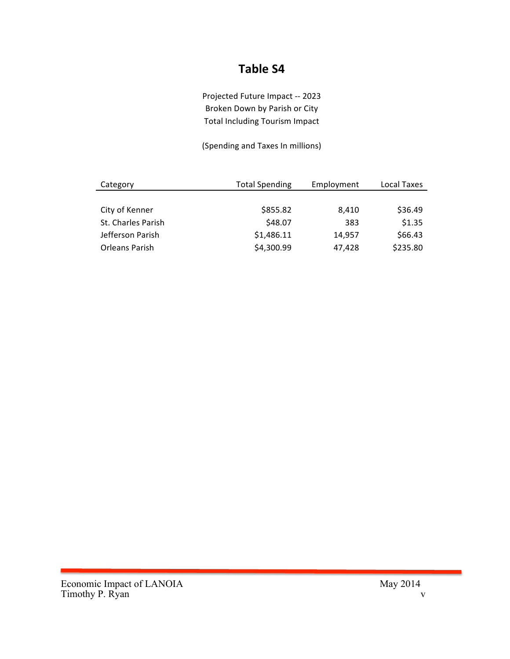## **Table S4**

Projected Future Impact -- 2023 Broken Down by Parish or City Total Including Tourism Impact

(Spending and Taxes In millions)

| Category           | <b>Total Spending</b> | Employment | Local Taxes |
|--------------------|-----------------------|------------|-------------|
|                    |                       |            |             |
| City of Kenner     | \$855.82              | 8.410      | \$36.49     |
| St. Charles Parish | \$48.07               | 383        | \$1.35      |
| Jefferson Parish   | \$1,486.11            | 14,957     | \$66.43     |
| Orleans Parish     | \$4,300.99            | 47,428     | \$235.80    |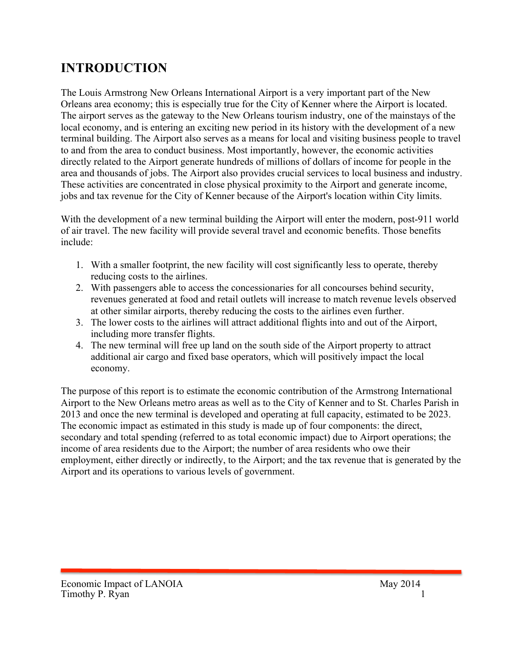## **INTRODUCTION**

The Louis Armstrong New Orleans International Airport is a very important part of the New Orleans area economy; this is especially true for the City of Kenner where the Airport is located. The airport serves as the gateway to the New Orleans tourism industry, one of the mainstays of the local economy, and is entering an exciting new period in its history with the development of a new terminal building. The Airport also serves as a means for local and visiting business people to travel to and from the area to conduct business. Most importantly, however, the economic activities directly related to the Airport generate hundreds of millions of dollars of income for people in the area and thousands of jobs. The Airport also provides crucial services to local business and industry. These activities are concentrated in close physical proximity to the Airport and generate income, jobs and tax revenue for the City of Kenner because of the Airport's location within City limits.

With the development of a new terminal building the Airport will enter the modern, post-911 world of air travel. The new facility will provide several travel and economic benefits. Those benefits include:

- 1. With a smaller footprint, the new facility will cost significantly less to operate, thereby reducing costs to the airlines.
- 2. With passengers able to access the concessionaries for all concourses behind security, revenues generated at food and retail outlets will increase to match revenue levels observed at other similar airports, thereby reducing the costs to the airlines even further.
- 3. The lower costs to the airlines will attract additional flights into and out of the Airport, including more transfer flights.
- 4. The new terminal will free up land on the south side of the Airport property to attract additional air cargo and fixed base operators, which will positively impact the local economy.

The purpose of this report is to estimate the economic contribution of the Armstrong International Airport to the New Orleans metro areas as well as to the City of Kenner and to St. Charles Parish in 2013 and once the new terminal is developed and operating at full capacity, estimated to be 2023. The economic impact as estimated in this study is made up of four components: the direct, secondary and total spending (referred to as total economic impact) due to Airport operations; the income of area residents due to the Airport; the number of area residents who owe their employment, either directly or indirectly, to the Airport; and the tax revenue that is generated by the Airport and its operations to various levels of government.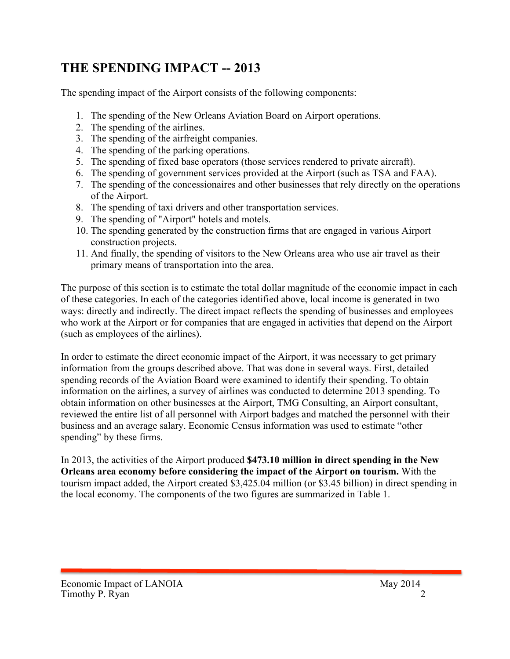## **THE SPENDING IMPACT -- 2013**

The spending impact of the Airport consists of the following components:

- 1. The spending of the New Orleans Aviation Board on Airport operations.
- 2. The spending of the airlines.
- 3. The spending of the airfreight companies.
- 4. The spending of the parking operations.
- 5. The spending of fixed base operators (those services rendered to private aircraft).
- 6. The spending of government services provided at the Airport (such as TSA and FAA).
- 7. The spending of the concessionaires and other businesses that rely directly on the operations of the Airport.
- 8. The spending of taxi drivers and other transportation services.
- 9. The spending of "Airport" hotels and motels.
- 10. The spending generated by the construction firms that are engaged in various Airport construction projects.
- 11. And finally, the spending of visitors to the New Orleans area who use air travel as their primary means of transportation into the area.

The purpose of this section is to estimate the total dollar magnitude of the economic impact in each of these categories. In each of the categories identified above, local income is generated in two ways: directly and indirectly. The direct impact reflects the spending of businesses and employees who work at the Airport or for companies that are engaged in activities that depend on the Airport (such as employees of the airlines).

In order to estimate the direct economic impact of the Airport, it was necessary to get primary information from the groups described above. That was done in several ways. First, detailed spending records of the Aviation Board were examined to identify their spending. To obtain information on the airlines, a survey of airlines was conducted to determine 2013 spending. To obtain information on other businesses at the Airport, TMG Consulting, an Airport consultant, reviewed the entire list of all personnel with Airport badges and matched the personnel with their business and an average salary. Economic Census information was used to estimate "other spending" by these firms.

In 2013, the activities of the Airport produced **\$473.10 million in direct spending in the New Orleans area economy before considering the impact of the Airport on tourism.** With the tourism impact added, the Airport created \$3,425.04 million (or \$3.45 billion) in direct spending in the local economy. The components of the two figures are summarized in Table 1.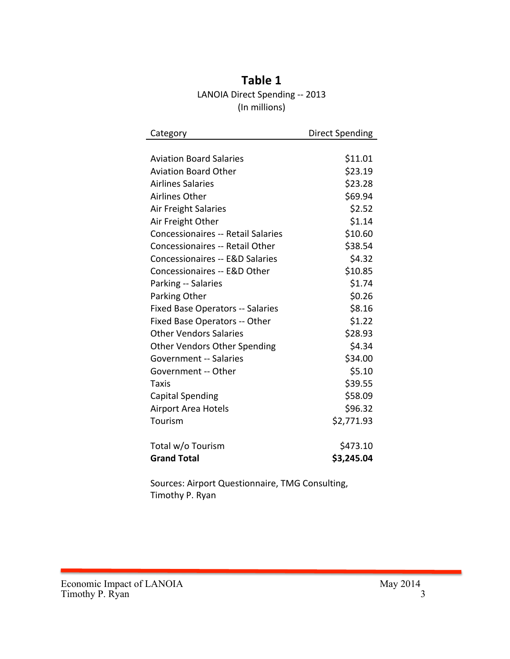| Table 1                        |
|--------------------------------|
| LANOIA Direct Spending -- 2013 |
| (In millions)                  |

| Category                                  | <b>Direct Spending</b> |
|-------------------------------------------|------------------------|
|                                           |                        |
| <b>Aviation Board Salaries</b>            | \$11.01                |
| <b>Aviation Board Other</b>               | \$23.19                |
| <b>Airlines Salaries</b>                  | \$23.28                |
| Airlines Other                            | \$69.94                |
| Air Freight Salaries                      | \$2.52                 |
| Air Freight Other                         | \$1.14                 |
| <b>Concessionaires -- Retail Salaries</b> | \$10.60                |
| Concessionaires -- Retail Other           | \$38.54                |
| Concessionaires -- E&D Salaries           | \$4.32                 |
| Concessionaires -- E&D Other              | \$10.85                |
| Parking -- Salaries                       | \$1.74                 |
| Parking Other                             | \$0.26                 |
| Fixed Base Operators -- Salaries          | \$8.16                 |
| Fixed Base Operators -- Other             | \$1.22                 |
| <b>Other Vendors Salaries</b>             | \$28.93                |
| <b>Other Vendors Other Spending</b>       | \$4.34                 |
| <b>Government -- Salaries</b>             | \$34.00                |
| Government -- Other                       | \$5.10                 |
| Taxis                                     | \$39.55                |
| <b>Capital Spending</b>                   | \$58.09                |
| Airport Area Hotels                       | \$96.32                |
| Tourism                                   | \$2,771.93             |
| Total w/o Tourism                         | \$473.10               |
| <b>Grand Total</b>                        | \$3,245.04             |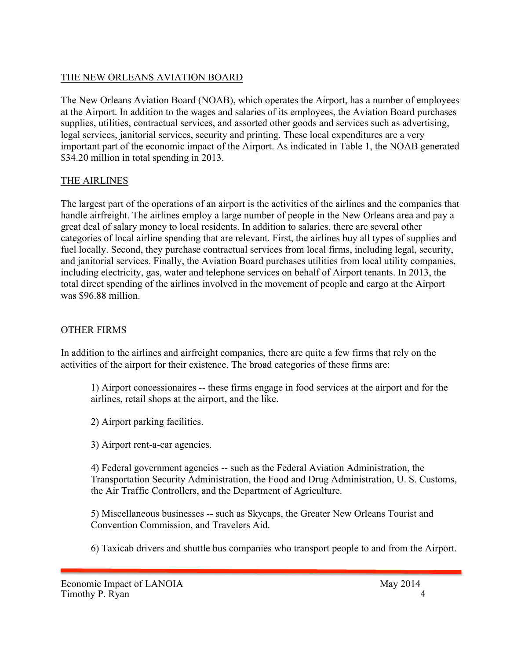## THE NEW ORLEANS AVIATION BOARD

The New Orleans Aviation Board (NOAB), which operates the Airport, has a number of employees at the Airport. In addition to the wages and salaries of its employees, the Aviation Board purchases supplies, utilities, contractual services, and assorted other goods and services such as advertising, legal services, janitorial services, security and printing. These local expenditures are a very important part of the economic impact of the Airport. As indicated in Table 1, the NOAB generated \$34.20 million in total spending in 2013.

#### THE AIRLINES

The largest part of the operations of an airport is the activities of the airlines and the companies that handle airfreight. The airlines employ a large number of people in the New Orleans area and pay a great deal of salary money to local residents. In addition to salaries, there are several other categories of local airline spending that are relevant. First, the airlines buy all types of supplies and fuel locally. Second, they purchase contractual services from local firms, including legal, security, and janitorial services. Finally, the Aviation Board purchases utilities from local utility companies, including electricity, gas, water and telephone services on behalf of Airport tenants. In 2013, the total direct spending of the airlines involved in the movement of people and cargo at the Airport was \$96.88 million.

#### OTHER FIRMS

In addition to the airlines and airfreight companies, there are quite a few firms that rely on the activities of the airport for their existence. The broad categories of these firms are:

1) Airport concessionaires -- these firms engage in food services at the airport and for the airlines, retail shops at the airport, and the like.

2) Airport parking facilities.

3) Airport rent-a-car agencies.

4) Federal government agencies -- such as the Federal Aviation Administration, the Transportation Security Administration, the Food and Drug Administration, U. S. Customs, the Air Traffic Controllers, and the Department of Agriculture.

5) Miscellaneous businesses -- such as Skycaps, the Greater New Orleans Tourist and Convention Commission, and Travelers Aid.

6) Taxicab drivers and shuttle bus companies who transport people to and from the Airport.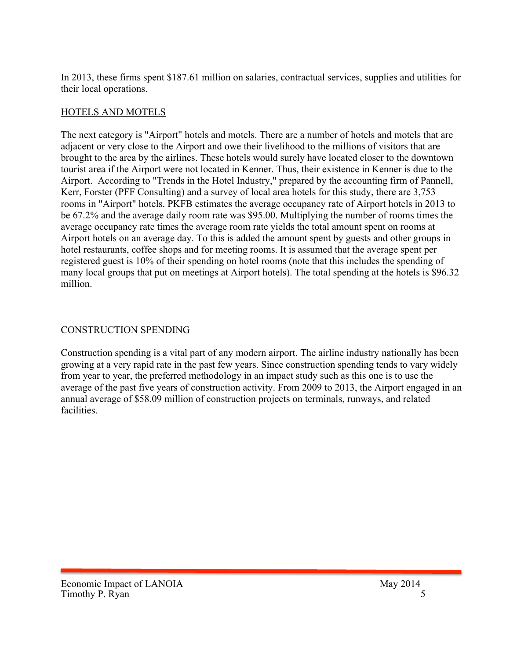In 2013, these firms spent \$187.61 million on salaries, contractual services, supplies and utilities for their local operations.

#### HOTELS AND MOTELS

The next category is "Airport" hotels and motels. There are a number of hotels and motels that are adjacent or very close to the Airport and owe their livelihood to the millions of visitors that are brought to the area by the airlines. These hotels would surely have located closer to the downtown tourist area if the Airport were not located in Kenner. Thus, their existence in Kenner is due to the Airport. According to "Trends in the Hotel Industry," prepared by the accounting firm of Pannell, Kerr, Forster (PFF Consulting) and a survey of local area hotels for this study, there are 3,753 rooms in "Airport" hotels. PKFB estimates the average occupancy rate of Airport hotels in 2013 to be 67.2% and the average daily room rate was \$95.00. Multiplying the number of rooms times the average occupancy rate times the average room rate yields the total amount spent on rooms at Airport hotels on an average day. To this is added the amount spent by guests and other groups in hotel restaurants, coffee shops and for meeting rooms. It is assumed that the average spent per registered guest is 10% of their spending on hotel rooms (note that this includes the spending of many local groups that put on meetings at Airport hotels). The total spending at the hotels is \$96.32 million.

## CONSTRUCTION SPENDING

Construction spending is a vital part of any modern airport. The airline industry nationally has been growing at a very rapid rate in the past few years. Since construction spending tends to vary widely from year to year, the preferred methodology in an impact study such as this one is to use the average of the past five years of construction activity. From 2009 to 2013, the Airport engaged in an annual average of \$58.09 million of construction projects on terminals, runways, and related facilities.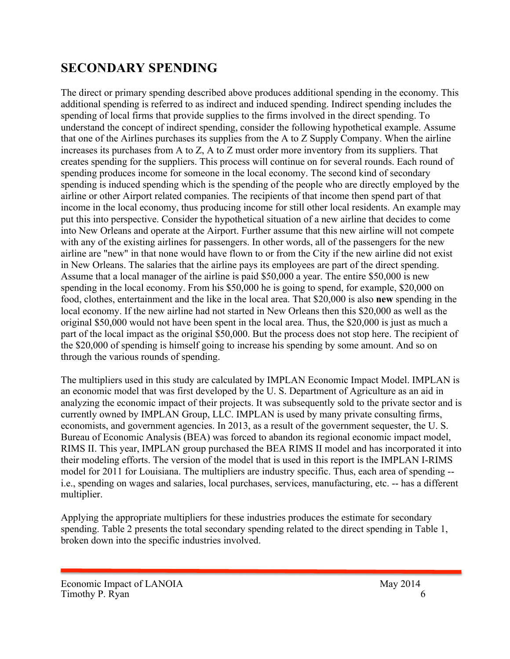## **SECONDARY SPENDING**

The direct or primary spending described above produces additional spending in the economy. This additional spending is referred to as indirect and induced spending. Indirect spending includes the spending of local firms that provide supplies to the firms involved in the direct spending. To understand the concept of indirect spending, consider the following hypothetical example. Assume that one of the Airlines purchases its supplies from the A to Z Supply Company. When the airline increases its purchases from A to Z, A to Z must order more inventory from its suppliers. That creates spending for the suppliers. This process will continue on for several rounds. Each round of spending produces income for someone in the local economy. The second kind of secondary spending is induced spending which is the spending of the people who are directly employed by the airline or other Airport related companies. The recipients of that income then spend part of that income in the local economy, thus producing income for still other local residents. An example may put this into perspective. Consider the hypothetical situation of a new airline that decides to come into New Orleans and operate at the Airport. Further assume that this new airline will not compete with any of the existing airlines for passengers. In other words, all of the passengers for the new airline are "new" in that none would have flown to or from the City if the new airline did not exist in New Orleans. The salaries that the airline pays its employees are part of the direct spending. Assume that a local manager of the airline is paid \$50,000 a year. The entire \$50,000 is new spending in the local economy. From his \$50,000 he is going to spend, for example, \$20,000 on food, clothes, entertainment and the like in the local area. That \$20,000 is also **new** spending in the local economy. If the new airline had not started in New Orleans then this \$20,000 as well as the original \$50,000 would not have been spent in the local area. Thus, the \$20,000 is just as much a part of the local impact as the original \$50,000. But the process does not stop here. The recipient of the \$20,000 of spending is himself going to increase his spending by some amount. And so on through the various rounds of spending.

The multipliers used in this study are calculated by IMPLAN Economic Impact Model. IMPLAN is an economic model that was first developed by the U. S. Department of Agriculture as an aid in analyzing the economic impact of their projects. It was subsequently sold to the private sector and is currently owned by IMPLAN Group, LLC. IMPLAN is used by many private consulting firms, economists, and government agencies. In 2013, as a result of the government sequester, the U. S. Bureau of Economic Analysis (BEA) was forced to abandon its regional economic impact model, RIMS II. This year, IMPLAN group purchased the BEA RIMS II model and has incorporated it into their modeling efforts. The version of the model that is used in this report is the IMPLAN I-RIMS model for 2011 for Louisiana. The multipliers are industry specific. Thus, each area of spending - i.e., spending on wages and salaries, local purchases, services, manufacturing, etc. -- has a different multiplier.

Applying the appropriate multipliers for these industries produces the estimate for secondary spending. Table 2 presents the total secondary spending related to the direct spending in Table 1, broken down into the specific industries involved.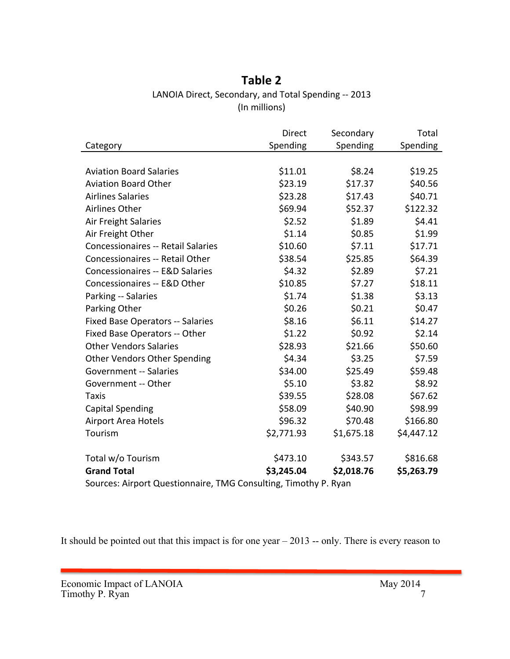## **Table 2** LANOIA Direct, Secondary, and Total Spending -- 2013 (In millions)

|                                            | <b>Direct</b>                                                        | Secondary  | Total      |
|--------------------------------------------|----------------------------------------------------------------------|------------|------------|
| Category                                   | Spending                                                             | Spending   | Spending   |
|                                            |                                                                      |            |            |
| <b>Aviation Board Salaries</b>             | \$11.01                                                              | \$8.24     | \$19.25    |
| <b>Aviation Board Other</b>                | \$23.19                                                              | \$17.37    | \$40.56    |
| <b>Airlines Salaries</b>                   | \$23.28                                                              | \$17.43    | \$40.71    |
| Airlines Other                             | \$69.94                                                              | \$52.37    | \$122.32   |
| Air Freight Salaries                       | \$2.52                                                               | \$1.89     | \$4.41     |
| Air Freight Other                          | \$1.14                                                               | \$0.85     | \$1.99     |
| <b>Concessionaires -- Retail Salaries</b>  | \$10.60                                                              | \$7.11     | \$17.71    |
| Concessionaires -- Retail Other            | \$38.54                                                              | \$25.85    | \$64.39    |
| <b>Concessionaires -- E&amp;D Salaries</b> | \$4.32                                                               | \$2.89     | \$7.21     |
| Concessionaires -- E&D Other               | \$10.85                                                              | \$7.27     | \$18.11    |
| Parking -- Salaries                        | \$1.74                                                               | \$1.38     | \$3.13     |
| Parking Other                              | \$0.26                                                               | \$0.21     | \$0.47     |
| <b>Fixed Base Operators -- Salaries</b>    | \$8.16                                                               | \$6.11     | \$14.27    |
| Fixed Base Operators -- Other              | \$1.22                                                               | \$0.92     | \$2.14     |
| <b>Other Vendors Salaries</b>              | \$28.93                                                              | \$21.66    | \$50.60    |
| Other Vendors Other Spending               | \$4.34                                                               | \$3.25     | \$7.59     |
| <b>Government -- Salaries</b>              | \$34.00                                                              | \$25.49    | \$59.48    |
| Government -- Other                        | \$5.10                                                               | \$3.82     | \$8.92     |
| <b>Taxis</b>                               | \$39.55                                                              | \$28.08    | \$67.62    |
| <b>Capital Spending</b>                    | \$58.09                                                              | \$40.90    | \$98.99    |
| <b>Airport Area Hotels</b>                 | \$96.32                                                              | \$70.48    | \$166.80   |
| Tourism                                    | \$2,771.93                                                           | \$1,675.18 | \$4,447.12 |
| Total w/o Tourism                          | \$473.10                                                             | \$343.57   | \$816.68   |
| <b>Grand Total</b>                         | \$3,245.04<br>$T$ $10$ Consider $T$ is a $10$ , $10$ , $10$ , $10$ . | \$2,018.76 | \$5,263.79 |

Sources: Airport Questionnaire, TMG Consulting, Timothy P. Ryan

It should be pointed out that this impact is for one year – 2013 -- only. There is every reason to

Economic Impact of LANOIA May 2014 Timothy P. Ryan 7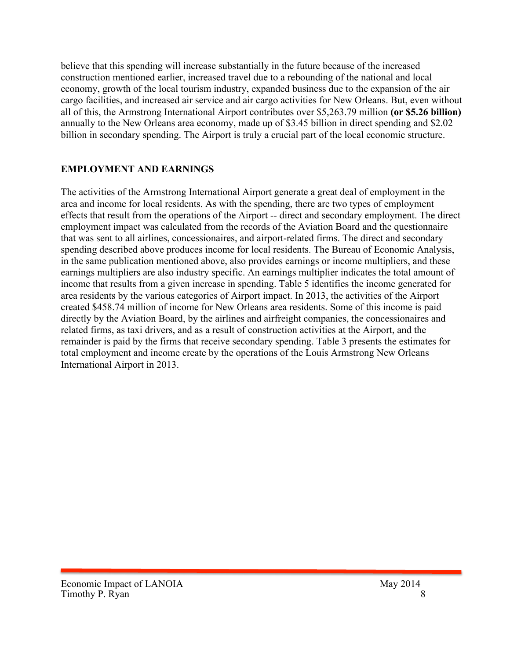believe that this spending will increase substantially in the future because of the increased construction mentioned earlier, increased travel due to a rebounding of the national and local economy, growth of the local tourism industry, expanded business due to the expansion of the air cargo facilities, and increased air service and air cargo activities for New Orleans. But, even without all of this, the Armstrong International Airport contributes over \$5,263.79 million **(or \$5.26 billion)** annually to the New Orleans area economy, made up of \$3.45 billion in direct spending and \$2.02 billion in secondary spending. The Airport is truly a crucial part of the local economic structure.

#### **EMPLOYMENT AND EARNINGS**

The activities of the Armstrong International Airport generate a great deal of employment in the area and income for local residents. As with the spending, there are two types of employment effects that result from the operations of the Airport -- direct and secondary employment. The direct employment impact was calculated from the records of the Aviation Board and the questionnaire that was sent to all airlines, concessionaires, and airport-related firms. The direct and secondary spending described above produces income for local residents. The Bureau of Economic Analysis, in the same publication mentioned above, also provides earnings or income multipliers, and these earnings multipliers are also industry specific. An earnings multiplier indicates the total amount of income that results from a given increase in spending. Table 5 identifies the income generated for area residents by the various categories of Airport impact. In 2013, the activities of the Airport created \$458.74 million of income for New Orleans area residents. Some of this income is paid directly by the Aviation Board, by the airlines and airfreight companies, the concessionaires and related firms, as taxi drivers, and as a result of construction activities at the Airport, and the remainder is paid by the firms that receive secondary spending. Table 3 presents the estimates for total employment and income create by the operations of the Louis Armstrong New Orleans International Airport in 2013.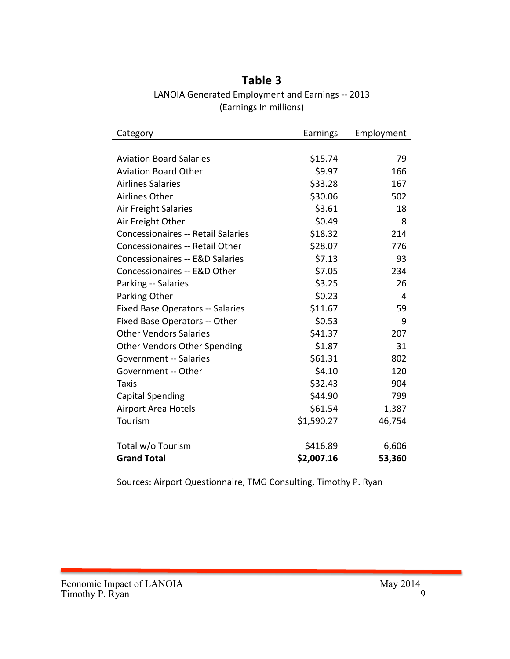## **Table 3** LANOIA Generated Employment and Earnings -- 2013 (Earnings In millions)

| Category                                   | Earnings   | Employment |
|--------------------------------------------|------------|------------|
|                                            |            |            |
| <b>Aviation Board Salaries</b>             | \$15.74    | 79         |
| <b>Aviation Board Other</b>                | \$9.97     | 166        |
| <b>Airlines Salaries</b>                   | \$33.28    | 167        |
| <b>Airlines Other</b>                      | \$30.06    | 502        |
| Air Freight Salaries                       | \$3.61     | 18         |
| Air Freight Other                          | \$0.49     | 8          |
| <b>Concessionaires -- Retail Salaries</b>  | \$18.32    | 214        |
| <b>Concessionaires -- Retail Other</b>     | \$28.07    | 776        |
| <b>Concessionaires -- E&amp;D Salaries</b> | \$7.13     | 93         |
| Concessionaires -- E&D Other               | \$7.05     | 234        |
| Parking -- Salaries                        | \$3.25     | 26         |
| Parking Other                              | \$0.23     | 4          |
| <b>Fixed Base Operators -- Salaries</b>    | \$11.67    | 59         |
| Fixed Base Operators -- Other              | \$0.53     | 9          |
| <b>Other Vendors Salaries</b>              | \$41.37    | 207        |
| <b>Other Vendors Other Spending</b>        | \$1.87     | 31         |
| <b>Government -- Salaries</b>              | \$61.31    | 802        |
| Government -- Other                        | \$4.10     | 120        |
| Taxis                                      | \$32.43    | 904        |
| <b>Capital Spending</b>                    | \$44.90    | 799        |
| <b>Airport Area Hotels</b>                 | \$61.54    | 1,387      |
| Tourism                                    | \$1,590.27 | 46,754     |
| Total w/o Tourism                          | \$416.89   | 6,606      |
| <b>Grand Total</b>                         | \$2,007.16 | 53,360     |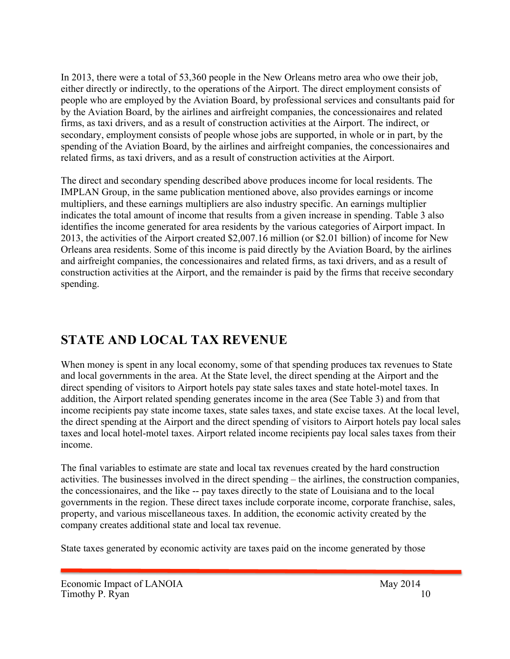In 2013, there were a total of 53,360 people in the New Orleans metro area who owe their job, either directly or indirectly, to the operations of the Airport. The direct employment consists of people who are employed by the Aviation Board, by professional services and consultants paid for by the Aviation Board, by the airlines and airfreight companies, the concessionaires and related firms, as taxi drivers, and as a result of construction activities at the Airport. The indirect, or secondary, employment consists of people whose jobs are supported, in whole or in part, by the spending of the Aviation Board, by the airlines and airfreight companies, the concessionaires and related firms, as taxi drivers, and as a result of construction activities at the Airport.

The direct and secondary spending described above produces income for local residents. The IMPLAN Group, in the same publication mentioned above, also provides earnings or income multipliers, and these earnings multipliers are also industry specific. An earnings multiplier indicates the total amount of income that results from a given increase in spending. Table 3 also identifies the income generated for area residents by the various categories of Airport impact. In 2013, the activities of the Airport created \$2,007.16 million (or \$2.01 billion) of income for New Orleans area residents. Some of this income is paid directly by the Aviation Board, by the airlines and airfreight companies, the concessionaires and related firms, as taxi drivers, and as a result of construction activities at the Airport, and the remainder is paid by the firms that receive secondary spending.

## **STATE AND LOCAL TAX REVENUE**

When money is spent in any local economy, some of that spending produces tax revenues to State and local governments in the area. At the State level, the direct spending at the Airport and the direct spending of visitors to Airport hotels pay state sales taxes and state hotel-motel taxes. In addition, the Airport related spending generates income in the area (See Table 3) and from that income recipients pay state income taxes, state sales taxes, and state excise taxes. At the local level, the direct spending at the Airport and the direct spending of visitors to Airport hotels pay local sales taxes and local hotel-motel taxes. Airport related income recipients pay local sales taxes from their income.

The final variables to estimate are state and local tax revenues created by the hard construction activities. The businesses involved in the direct spending – the airlines, the construction companies, the concessionaires, and the like -- pay taxes directly to the state of Louisiana and to the local governments in the region. These direct taxes include corporate income, corporate franchise, sales, property, and various miscellaneous taxes. In addition, the economic activity created by the company creates additional state and local tax revenue.

State taxes generated by economic activity are taxes paid on the income generated by those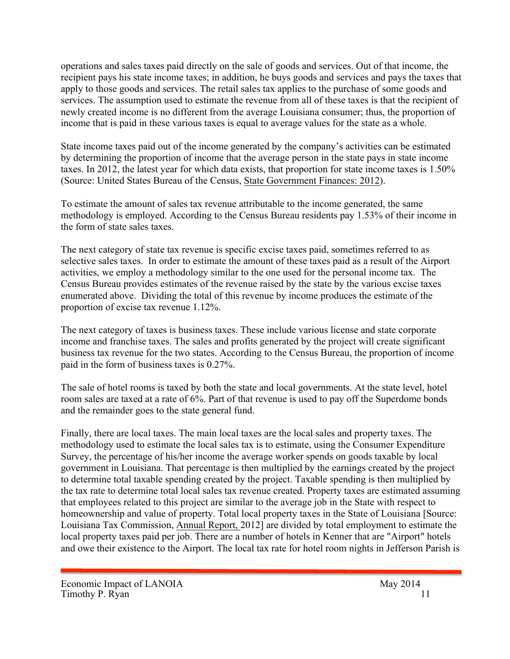operations and sales taxes paid directly on the sale of goods and services. Out of that income, the recipient pays his state income taxes; in addition, he buys goods and services and pays the taxes that apply to those goods and services. The retail sales tax applies to the purchase of some goods and services. The assumption used to estimate the revenue from all of these taxes is that the recipient of newly created income is no different from the average Louisiana consumer; thus, the proportion of income that is paid in these various taxes is equal to average values for the state as a whole.

State income taxes paid out of the income generated by the company's activities can be estimated by determining the proportion of income that the average person in the state pays in state income taxes. In 2012, the latest year for which data exists, that proportion for state income taxes is 1.50% (Source: United States Bureau of the Census, State Government Finances: 2012).

To estimate the amount of sales tax revenue attributable to the income generated, the same methodology is employed. According to the Census Bureau residents pay 1.53% of their income in the form of state sales taxes.

The next category of state tax revenue is specific excise taxes paid, sometimes referred to as selective sales taxes. In order to estimate the amount of these taxes paid as a result of the Airport activities, we employ a methodology similar to the one used for the personal income tax. The Census Bureau provides estimates of the revenue raised by the state by the various excise taxes enumerated above. Dividing the total of this revenue by income produces the estimate of the proportion of excise tax revenue 1.12%.

The next category of taxes is business taxes. These include various license and state corporate income and franchise taxes. The sales and profits generated by the project will create significant business tax revenue for the two states. According to the Census Bureau, the proportion of income paid in the form of business taxes is 0.27%.

The sale of hotel rooms is taxed by both the state and local governments. At the state level, hotel room sales are taxed at a rate of 6%. Part of that revenue is used to pay off the Superdome bonds and the remainder goes to the state general fund.

Finally, there are local taxes. The main local taxes are the local sales and property taxes. The methodology used to estimate the local sales tax is to estimate, using the Consumer Expenditure Survey, the percentage of his/her income the average worker spends on goods taxable by local government in Louisiana. That percentage is then multiplied by the earnings created by the project to determine total taxable spending created by the project. Taxable spending is then multiplied by the tax rate to determine total local sales tax revenue created. Property taxes are estimated assuming that employees related to this project are similar to the average job in the State with respect to homeownership and value of property. Total local property taxes in the State of Louisiana [Source: Louisiana Tax Commission, Annual Report, 2012] are divided by total employment to estimate the local property taxes paid per job. There are a number of hotels in Kenner that are "Airport" hotels and owe their existence to the Airport. The local tax rate for hotel room nights in Jefferson Parish is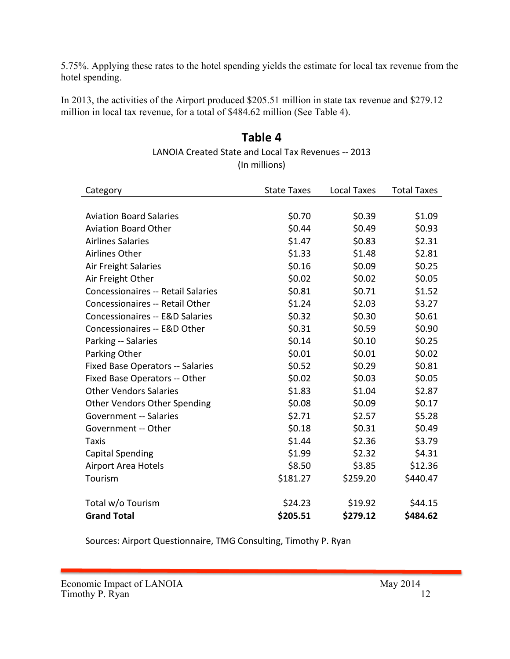5.75%. Applying these rates to the hotel spending yields the estimate for local tax revenue from the hotel spending.

In 2013, the activities of the Airport produced \$205.51 million in state tax revenue and \$279.12 million in local tax revenue, for a total of \$484.62 million (See Table 4).

#### **Table 4** LANOIA Created State and Local Tax Revenues -- 2013 (In millions)

| Category                                   | <b>State Taxes</b> | <b>Local Taxes</b> | <b>Total Taxes</b> |
|--------------------------------------------|--------------------|--------------------|--------------------|
|                                            |                    |                    |                    |
| <b>Aviation Board Salaries</b>             | \$0.70             | \$0.39             | \$1.09             |
| <b>Aviation Board Other</b>                | \$0.44             | \$0.49             | \$0.93             |
| <b>Airlines Salaries</b>                   | \$1.47             | \$0.83             | \$2.31             |
| <b>Airlines Other</b>                      | \$1.33             | \$1.48             | \$2.81             |
| <b>Air Freight Salaries</b>                | \$0.16             | \$0.09             | \$0.25             |
| Air Freight Other                          | \$0.02             | \$0.02             | \$0.05             |
| <b>Concessionaires -- Retail Salaries</b>  | \$0.81             | \$0.71             | \$1.52             |
| Concessionaires -- Retail Other            | \$1.24             | \$2.03             | \$3.27             |
| <b>Concessionaires -- E&amp;D Salaries</b> | \$0.32             | \$0.30             | \$0.61             |
| Concessionaires -- E&D Other               | \$0.31             | \$0.59             | \$0.90             |
| Parking -- Salaries                        | \$0.14             | \$0.10             | \$0.25             |
| Parking Other                              | \$0.01             | \$0.01             | \$0.02             |
| <b>Fixed Base Operators -- Salaries</b>    | \$0.52             | \$0.29             | \$0.81             |
| Fixed Base Operators -- Other              | \$0.02             | \$0.03             | \$0.05             |
| <b>Other Vendors Salaries</b>              | \$1.83             | \$1.04             | \$2.87             |
| <b>Other Vendors Other Spending</b>        | \$0.08             | \$0.09             | \$0.17             |
| <b>Government -- Salaries</b>              | \$2.71             | \$2.57             | \$5.28             |
| Government -- Other                        | \$0.18             | \$0.31             | \$0.49             |
| Taxis                                      | \$1.44             | \$2.36             | \$3.79             |
| <b>Capital Spending</b>                    | \$1.99             | \$2.32             | \$4.31             |
| <b>Airport Area Hotels</b>                 | \$8.50             | \$3.85             | \$12.36            |
| Tourism                                    | \$181.27           | \$259.20           | \$440.47           |
| Total w/o Tourism                          | \$24.23            | \$19.92            | \$44.15            |
| <b>Grand Total</b>                         | \$205.51           | \$279.12           | \$484.62           |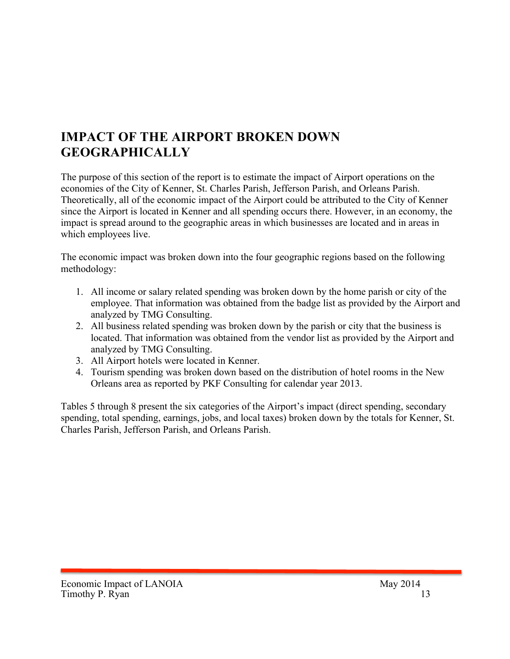## **IMPACT OF THE AIRPORT BROKEN DOWN GEOGRAPHICALLY**

The purpose of this section of the report is to estimate the impact of Airport operations on the economies of the City of Kenner, St. Charles Parish, Jefferson Parish, and Orleans Parish. Theoretically, all of the economic impact of the Airport could be attributed to the City of Kenner since the Airport is located in Kenner and all spending occurs there. However, in an economy, the impact is spread around to the geographic areas in which businesses are located and in areas in which employees live.

The economic impact was broken down into the four geographic regions based on the following methodology:

- 1. All income or salary related spending was broken down by the home parish or city of the employee. That information was obtained from the badge list as provided by the Airport and analyzed by TMG Consulting.
- 2. All business related spending was broken down by the parish or city that the business is located. That information was obtained from the vendor list as provided by the Airport and analyzed by TMG Consulting.
- 3. All Airport hotels were located in Kenner.
- 4. Tourism spending was broken down based on the distribution of hotel rooms in the New Orleans area as reported by PKF Consulting for calendar year 2013.

Tables 5 through 8 present the six categories of the Airport's impact (direct spending, secondary spending, total spending, earnings, jobs, and local taxes) broken down by the totals for Kenner, St. Charles Parish, Jefferson Parish, and Orleans Parish.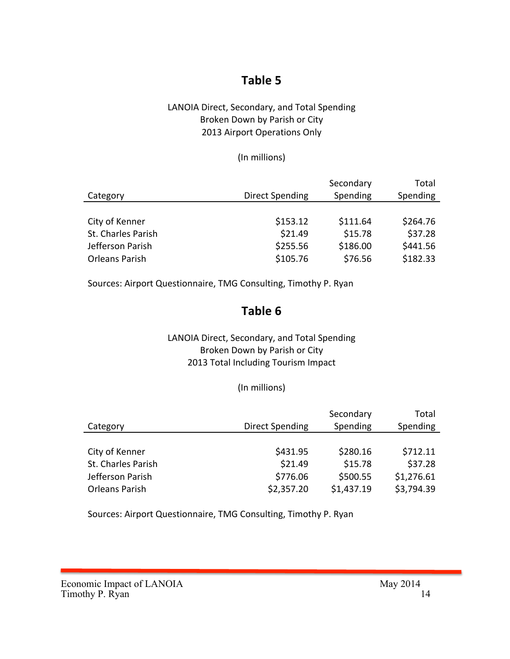## **Table 5**

#### LANOIA Direct, Secondary, and Total Spending Broken Down by Parish or City 2013 Airport Operations Only

#### (In millions)

|                       |                 | Secondary | Total    |
|-----------------------|-----------------|-----------|----------|
| Category              | Direct Spending | Spending  | Spending |
|                       |                 |           |          |
| City of Kenner        | \$153.12        | \$111.64  | \$264.76 |
| St. Charles Parish    | \$21.49         | \$15.78   | \$37.28  |
| Jefferson Parish      | \$255.56        | \$186.00  | \$441.56 |
| <b>Orleans Parish</b> | \$105.76        | \$76.56   | \$182.33 |

Sources: Airport Questionnaire, TMG Consulting, Timothy P. Ryan

## **Table 6**

#### LANOIA Direct, Secondary, and Total Spending Broken Down by Parish or City 2013 Total Including Tourism Impact

#### (In millions)

| Category           | <b>Direct Spending</b> | Secondary<br>Spending | Total<br>Spending |
|--------------------|------------------------|-----------------------|-------------------|
|                    |                        |                       |                   |
| City of Kenner     | \$431.95               | \$280.16              | \$712.11          |
| St. Charles Parish | \$21.49                | \$15.78               | \$37.28           |
| Jefferson Parish   | \$776.06               | \$500.55              | \$1,276.61        |
| Orleans Parish     | \$2,357.20             | \$1,437.19            | \$3,794.39        |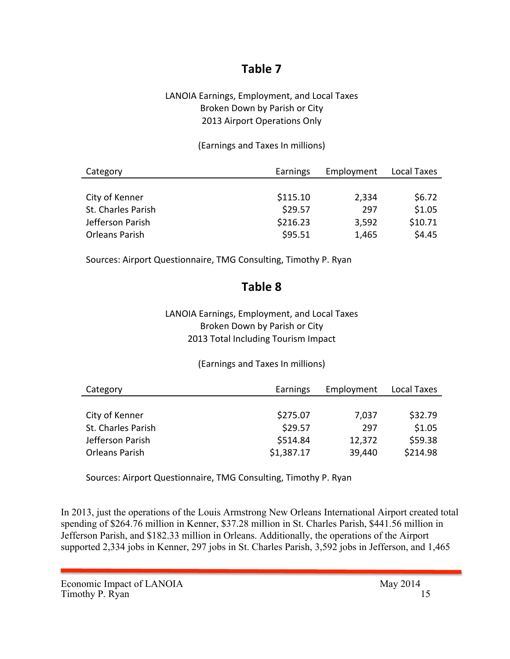## **Table 7**

#### LANOIA Earnings, Employment, and Local Taxes Broken Down by Parish or City 2013 Airport Operations Only

#### (Earnings and Taxes In millions)

| Category              | Earnings | Employment | Local Taxes |
|-----------------------|----------|------------|-------------|
|                       |          |            |             |
| City of Kenner        | \$115.10 | 2,334      | \$6.72      |
| St. Charles Parish    | \$29.57  | 297        | \$1.05      |
| Jefferson Parish      | \$216.23 | 3,592      | \$10.71     |
| <b>Orleans Parish</b> | \$95.51  | 1,465      | \$4.45      |

Sources: Airport Questionnaire, TMG Consulting, Timothy P. Ryan

## **Table 8**

#### LANOIA Earnings, Employment, and Local Taxes Broken Down by Parish or City 2013 Total Including Tourism Impact

#### (Earnings and Taxes In millions)

| Category              | Earnings   | Employment | Local Taxes |
|-----------------------|------------|------------|-------------|
|                       |            |            |             |
| City of Kenner        | \$275.07   | 7,037      | \$32.79     |
| St. Charles Parish    | \$29.57    | 297        | \$1.05      |
| Jefferson Parish      | \$514.84   | 12,372     | \$59.38     |
| <b>Orleans Parish</b> | \$1,387.17 | 39,440     | \$214.98    |

Sources: Airport Questionnaire, TMG Consulting, Timothy P. Ryan

In 2013, just the operations of the Louis Armstrong New Orleans International Airport created total spending of \$264.76 million in Kenner, \$37.28 million in St. Charles Parish, \$441.56 million in Jefferson Parish, and \$182.33 million in Orleans. Additionally, the operations of the Airport supported 2,334 jobs in Kenner, 297 jobs in St. Charles Parish, 3,592 jobs in Jefferson, and 1,465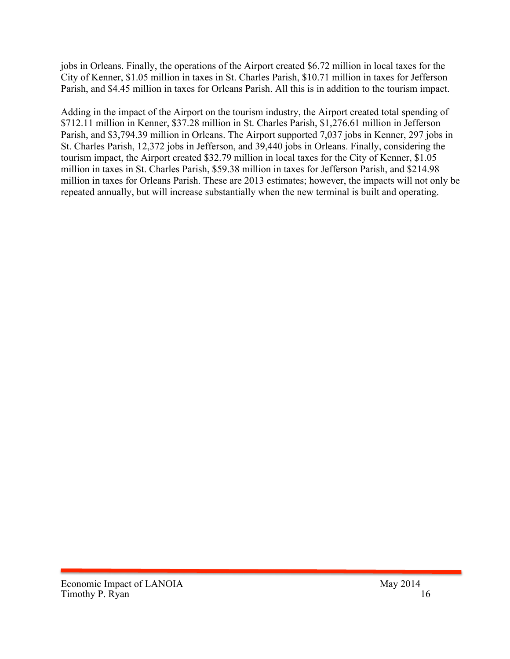jobs in Orleans. Finally, the operations of the Airport created \$6.72 million in local taxes for the City of Kenner, \$1.05 million in taxes in St. Charles Parish, \$10.71 million in taxes for Jefferson Parish, and \$4.45 million in taxes for Orleans Parish. All this is in addition to the tourism impact.

Adding in the impact of the Airport on the tourism industry, the Airport created total spending of \$712.11 million in Kenner, \$37.28 million in St. Charles Parish, \$1,276.61 million in Jefferson Parish, and \$3,794.39 million in Orleans. The Airport supported 7,037 jobs in Kenner, 297 jobs in St. Charles Parish, 12,372 jobs in Jefferson, and 39,440 jobs in Orleans. Finally, considering the tourism impact, the Airport created \$32.79 million in local taxes for the City of Kenner, \$1.05 million in taxes in St. Charles Parish, \$59.38 million in taxes for Jefferson Parish, and \$214.98 million in taxes for Orleans Parish. These are 2013 estimates; however, the impacts will not only be repeated annually, but will increase substantially when the new terminal is built and operating.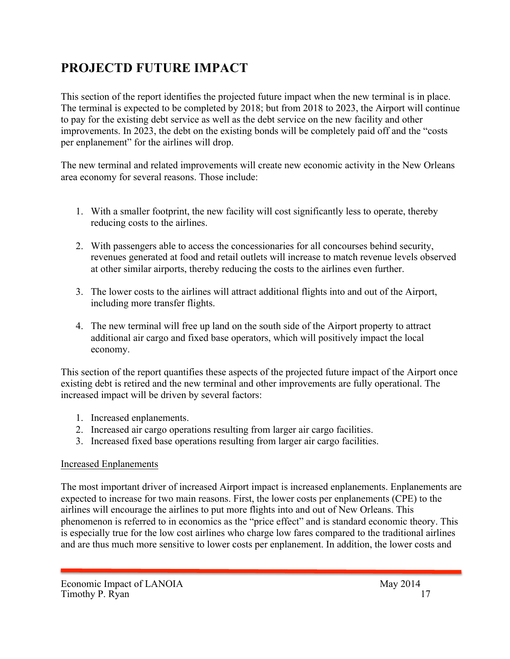## **PROJECTD FUTURE IMPACT**

This section of the report identifies the projected future impact when the new terminal is in place. The terminal is expected to be completed by 2018; but from 2018 to 2023, the Airport will continue to pay for the existing debt service as well as the debt service on the new facility and other improvements. In 2023, the debt on the existing bonds will be completely paid off and the "costs per enplanement" for the airlines will drop.

The new terminal and related improvements will create new economic activity in the New Orleans area economy for several reasons. Those include:

- 1. With a smaller footprint, the new facility will cost significantly less to operate, thereby reducing costs to the airlines.
- 2. With passengers able to access the concessionaries for all concourses behind security, revenues generated at food and retail outlets will increase to match revenue levels observed at other similar airports, thereby reducing the costs to the airlines even further.
- 3. The lower costs to the airlines will attract additional flights into and out of the Airport, including more transfer flights.
- 4. The new terminal will free up land on the south side of the Airport property to attract additional air cargo and fixed base operators, which will positively impact the local economy.

This section of the report quantifies these aspects of the projected future impact of the Airport once existing debt is retired and the new terminal and other improvements are fully operational. The increased impact will be driven by several factors:

- 1. Increased enplanements.
- 2. Increased air cargo operations resulting from larger air cargo facilities.
- 3. Increased fixed base operations resulting from larger air cargo facilities.

## Increased Enplanements

The most important driver of increased Airport impact is increased enplanements. Enplanements are expected to increase for two main reasons. First, the lower costs per enplanements (CPE) to the airlines will encourage the airlines to put more flights into and out of New Orleans. This phenomenon is referred to in economics as the "price effect" and is standard economic theory. This is especially true for the low cost airlines who charge low fares compared to the traditional airlines and are thus much more sensitive to lower costs per enplanement. In addition, the lower costs and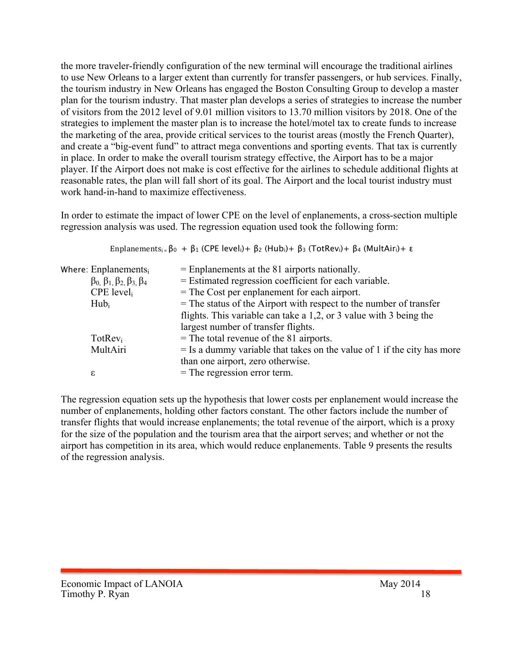the more traveler-friendly configuration of the new terminal will encourage the traditional airlines to use New Orleans to a larger extent than currently for transfer passengers, or hub services. Finally, the tourism industry in New Orleans has engaged the Boston Consulting Group to develop a master plan for the tourism industry. That master plan develops a series of strategies to increase the number of visitors from the 2012 level of 9.01 million visitors to 13.70 million visitors by 2018. One of the strategies to implement the master plan is to increase the hotel/motel tax to create funds to increase the marketing of the area, provide critical services to the tourist areas (mostly the French Quarter), and create a "big-event fund" to attract mega conventions and sporting events. That tax is currently in place. In order to make the overall tourism strategy effective, the Airport has to be a major player. If the Airport does not make is cost effective for the airlines to schedule additional flights at reasonable rates, the plan will fall short of its goal. The Airport and the local tourist industry must work hand-in-hand to maximize effectiveness.

In order to estimate the impact of lower CPE on the level of enplanements, a cross-section multiple regression analysis was used. The regression equation used took the following form:

|                                                           | Enplanements <sub>i</sub> = $\beta_0 + \beta_1$ (CPE level <sub>i</sub> )+ $\beta_2$ (Hub <sub>i</sub> )+ $\beta_3$ (TotRev <sub>i</sub> )+ $\beta_4$ (MultAir <sub>i</sub> )+ $\varepsilon$ |
|-----------------------------------------------------------|----------------------------------------------------------------------------------------------------------------------------------------------------------------------------------------------|
| Where: $Emplanements_i$                                   | $=$ Enplanements at the 81 airports nationally.                                                                                                                                              |
| $\beta_0$ , $\beta_1$ , $\beta_2$ , $\beta_3$ , $\beta_4$ | = Estimated regression coefficient for each variable.                                                                                                                                        |
| $CPE$ level                                               | $=$ The Cost per enplanement for each airport.                                                                                                                                               |
| $Hub_i$                                                   | $=$ The status of the Airport with respect to the number of transfer                                                                                                                         |
|                                                           | flights. This variable can take a 1,2, or 3 value with 3 being the                                                                                                                           |
|                                                           | largest number of transfer flights.                                                                                                                                                          |
| $TotRev_i$                                                | $=$ The total revenue of the 81 airports.                                                                                                                                                    |
| MultAiri                                                  | $=$ Is a dummy variable that takes on the value of 1 if the city has more                                                                                                                    |
|                                                           | than one airport, zero otherwise.                                                                                                                                                            |
| ε                                                         | $=$ The regression error term.                                                                                                                                                               |
|                                                           |                                                                                                                                                                                              |

The regression equation sets up the hypothesis that lower costs per enplanement would increase the number of enplanements, holding other factors constant. The other factors include the number of transfer flights that would increase enplanements; the total revenue of the airport, which is a proxy for the size of the population and the tourism area that the airport serves; and whether or not the airport has competition in its area, which would reduce enplanements. Table 9 presents the results of the regression analysis.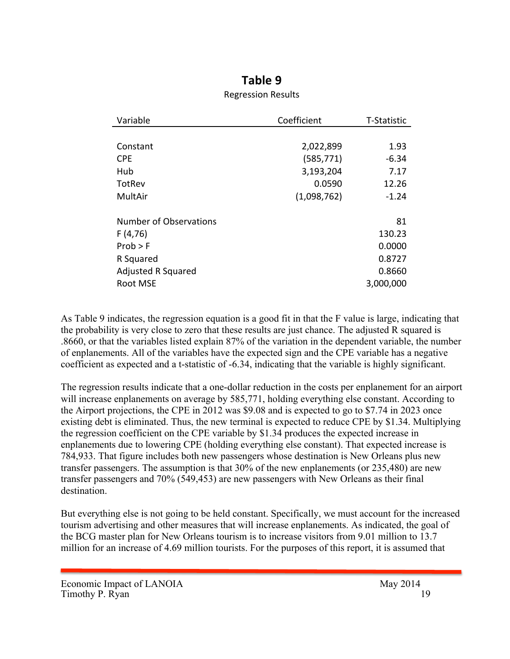## **Table 9**

#### Regression Results

| Variable                  | Coefficient | T-Statistic |
|---------------------------|-------------|-------------|
|                           |             |             |
| Constant                  | 2,022,899   | 1.93        |
| <b>CPE</b>                | (585,771)   | $-6.34$     |
| Hub                       | 3,193,204   | 7.17        |
| TotRev                    | 0.0590      | 12.26       |
| MultAir                   | (1,098,762) | $-1.24$     |
|                           |             |             |
| Number of Observations    |             | 81          |
| F(4,76)                   |             | 130.23      |
| Prob > F                  |             | 0.0000      |
| R Squared                 |             | 0.8727      |
| <b>Adjusted R Squared</b> |             | 0.8660      |
| Root MSE                  |             | 3,000,000   |

As Table 9 indicates, the regression equation is a good fit in that the F value is large, indicating that the probability is very close to zero that these results are just chance. The adjusted R squared is .8660, or that the variables listed explain 87% of the variation in the dependent variable, the number of enplanements. All of the variables have the expected sign and the CPE variable has a negative coefficient as expected and a t-statistic of -6.34, indicating that the variable is highly significant.

The regression results indicate that a one-dollar reduction in the costs per enplanement for an airport will increase enplanements on average by 585,771, holding everything else constant. According to the Airport projections, the CPE in 2012 was \$9.08 and is expected to go to \$7.74 in 2023 once existing debt is eliminated. Thus, the new terminal is expected to reduce CPE by \$1.34. Multiplying the regression coefficient on the CPE variable by \$1.34 produces the expected increase in enplanements due to lowering CPE (holding everything else constant). That expected increase is 784,933. That figure includes both new passengers whose destination is New Orleans plus new transfer passengers. The assumption is that 30% of the new enplanements (or 235,480) are new transfer passengers and 70% (549,453) are new passengers with New Orleans as their final destination.

But everything else is not going to be held constant. Specifically, we must account for the increased tourism advertising and other measures that will increase enplanements. As indicated, the goal of the BCG master plan for New Orleans tourism is to increase visitors from 9.01 million to 13.7 million for an increase of 4.69 million tourists. For the purposes of this report, it is assumed that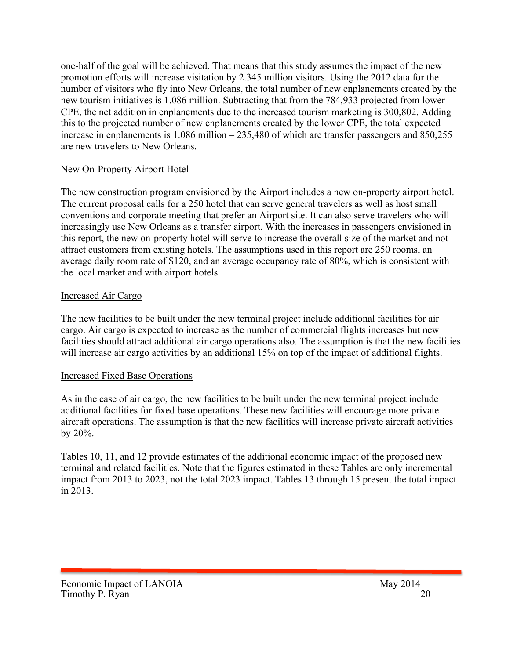one-half of the goal will be achieved. That means that this study assumes the impact of the new promotion efforts will increase visitation by 2.345 million visitors. Using the 2012 data for the number of visitors who fly into New Orleans, the total number of new enplanements created by the new tourism initiatives is 1.086 million. Subtracting that from the 784,933 projected from lower CPE, the net addition in enplanements due to the increased tourism marketing is 300,802. Adding this to the projected number of new enplanements created by the lower CPE, the total expected increase in enplanements is 1.086 million – 235,480 of which are transfer passengers and 850,255 are new travelers to New Orleans.

#### New On-Property Airport Hotel

The new construction program envisioned by the Airport includes a new on-property airport hotel. The current proposal calls for a 250 hotel that can serve general travelers as well as host small conventions and corporate meeting that prefer an Airport site. It can also serve travelers who will increasingly use New Orleans as a transfer airport. With the increases in passengers envisioned in this report, the new on-property hotel will serve to increase the overall size of the market and not attract customers from existing hotels. The assumptions used in this report are 250 rooms, an average daily room rate of \$120, and an average occupancy rate of 80%, which is consistent with the local market and with airport hotels.

#### Increased Air Cargo

The new facilities to be built under the new terminal project include additional facilities for air cargo. Air cargo is expected to increase as the number of commercial flights increases but new facilities should attract additional air cargo operations also. The assumption is that the new facilities will increase air cargo activities by an additional 15% on top of the impact of additional flights.

#### Increased Fixed Base Operations

As in the case of air cargo, the new facilities to be built under the new terminal project include additional facilities for fixed base operations. These new facilities will encourage more private aircraft operations. The assumption is that the new facilities will increase private aircraft activities by 20%.

Tables 10, 11, and 12 provide estimates of the additional economic impact of the proposed new terminal and related facilities. Note that the figures estimated in these Tables are only incremental impact from 2013 to 2023, not the total 2023 impact. Tables 13 through 15 present the total impact in 2013.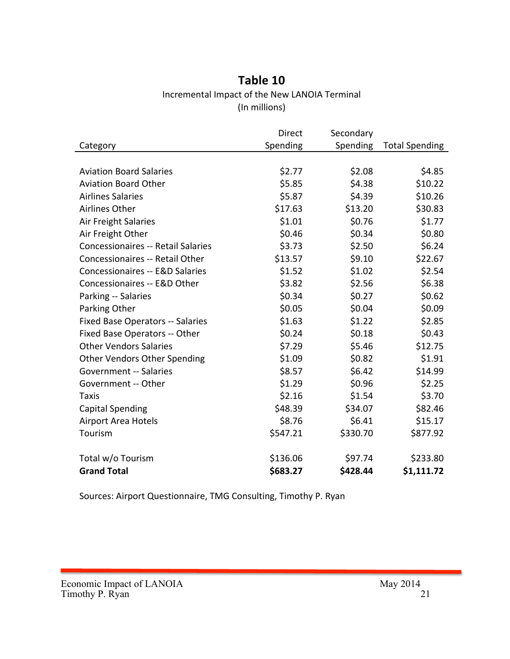## **Table 10** Incremental Impact of the New LANOIA Terminal (In millions)

|                                            | Direct   | Secondary |                       |
|--------------------------------------------|----------|-----------|-----------------------|
| Category                                   | Spending | Spending  | <b>Total Spending</b> |
|                                            |          |           |                       |
| <b>Aviation Board Salaries</b>             | \$2.77   | \$2.08    | \$4.85                |
| <b>Aviation Board Other</b>                | \$5.85   | \$4.38    | \$10.22               |
| <b>Airlines Salaries</b>                   | \$5.87   | \$4.39    | \$10.26               |
| Airlines Other                             | \$17.63  | \$13.20   | \$30.83               |
| Air Freight Salaries                       | \$1.01   | \$0.76    | \$1.77                |
| Air Freight Other                          | \$0.46   | \$0.34    | \$0.80                |
| <b>Concessionaires -- Retail Salaries</b>  | \$3.73   | \$2.50    | \$6.24                |
| Concessionaires -- Retail Other            | \$13.57  | \$9.10    | \$22.67               |
| <b>Concessionaires -- E&amp;D Salaries</b> | \$1.52   | \$1.02    | \$2.54                |
| Concessionaires -- E&D Other               | \$3.82   | \$2.56    | \$6.38                |
| Parking -- Salaries                        | \$0.34   | \$0.27    | \$0.62                |
| Parking Other                              | \$0.05   | \$0.04    | \$0.09                |
| <b>Fixed Base Operators -- Salaries</b>    | \$1.63   | \$1.22    | \$2.85                |
| Fixed Base Operators -- Other              | \$0.24   | \$0.18    | \$0.43                |
| <b>Other Vendors Salaries</b>              | \$7.29   | \$5.46    | \$12.75               |
| <b>Other Vendors Other Spending</b>        | \$1.09   | \$0.82    | \$1.91                |
| <b>Government -- Salaries</b>              | \$8.57   | \$6.42    | \$14.99               |
| Government -- Other                        | \$1.29   | \$0.96    | \$2.25                |
| Taxis                                      | \$2.16   | \$1.54    | \$3.70                |
| <b>Capital Spending</b>                    | \$48.39  | \$34.07   | \$82.46               |
| <b>Airport Area Hotels</b>                 | \$8.76   | \$6.41    | \$15.17               |
| Tourism                                    | \$547.21 | \$330.70  | \$877.92              |
| Total w/o Tourism                          | \$136.06 | \$97.74   | \$233.80              |
| <b>Grand Total</b>                         | \$683.27 | \$428.44  | \$1,111.72            |
|                                            |          |           |                       |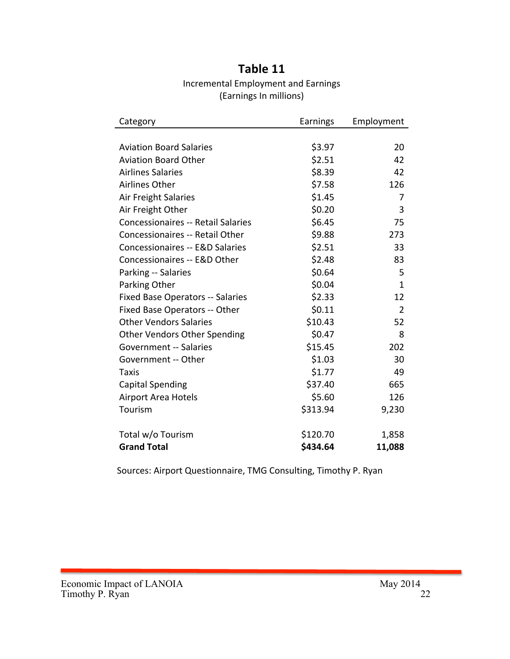## **Table 11** Incremental Employment and Earnings (Earnings In millions)

| Category                                  | Earnings | Employment     |
|-------------------------------------------|----------|----------------|
|                                           |          |                |
| <b>Aviation Board Salaries</b>            | \$3.97   | 20             |
| <b>Aviation Board Other</b>               | \$2.51   | 42             |
| <b>Airlines Salaries</b>                  | \$8.39   | 42             |
| <b>Airlines Other</b>                     | \$7.58   | 126            |
| Air Freight Salaries                      | \$1.45   | $\overline{7}$ |
| Air Freight Other                         | \$0.20   | 3              |
| <b>Concessionaires -- Retail Salaries</b> | \$6.45   | 75             |
| Concessionaires -- Retail Other           | \$9.88   | 273            |
| Concessionaires -- E&D Salaries           | \$2.51   | 33             |
| Concessionaires -- E&D Other              | \$2.48   | 83             |
| Parking -- Salaries                       | \$0.64   | 5              |
| Parking Other                             | \$0.04   | $\mathbf{1}$   |
| <b>Fixed Base Operators -- Salaries</b>   | \$2.33   | 12             |
| Fixed Base Operators -- Other             | \$0.11   | 2              |
| <b>Other Vendors Salaries</b>             | \$10.43  | 52             |
| <b>Other Vendors Other Spending</b>       | \$0.47   | 8              |
| <b>Government -- Salaries</b>             | \$15.45  | 202            |
| Government -- Other                       | \$1.03   | 30             |
| Taxis                                     | \$1.77   | 49             |
| <b>Capital Spending</b>                   | \$37.40  | 665            |
| <b>Airport Area Hotels</b>                | \$5.60   | 126            |
| Tourism                                   | \$313.94 | 9,230          |
| Total w/o Tourism                         | \$120.70 | 1,858          |
| <b>Grand Total</b>                        | \$434.64 | 11,088         |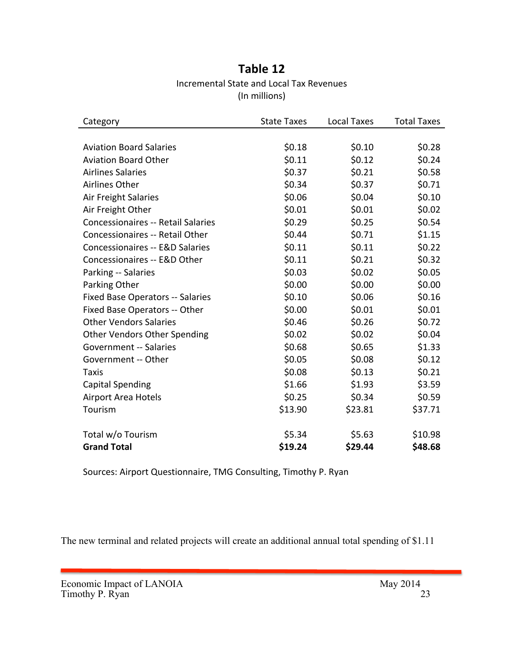## **Table 12** Incremental State and Local Tax Revenues (In millions)

| Category                                  | <b>State Taxes</b> | Local Taxes | <b>Total Taxes</b> |
|-------------------------------------------|--------------------|-------------|--------------------|
|                                           |                    |             |                    |
| <b>Aviation Board Salaries</b>            | \$0.18             | \$0.10      | \$0.28             |
| <b>Aviation Board Other</b>               | \$0.11             | \$0.12      | \$0.24             |
| <b>Airlines Salaries</b>                  | \$0.37             | \$0.21      | \$0.58             |
| Airlines Other                            | \$0.34             | \$0.37      | \$0.71             |
| Air Freight Salaries                      | \$0.06             | \$0.04      | \$0.10             |
| Air Freight Other                         | \$0.01             | \$0.01      | \$0.02\$           |
| <b>Concessionaires -- Retail Salaries</b> | \$0.29             | \$0.25      | \$0.54             |
| <b>Concessionaires -- Retail Other</b>    | \$0.44             | \$0.71      | \$1.15             |
| Concessionaires -- E&D Salaries           | \$0.11             | \$0.11      | \$0.22             |
| Concessionaires -- E&D Other              | \$0.11             | \$0.21      | \$0.32             |
| Parking -- Salaries                       | \$0.03             | \$0.02      | \$0.05             |
| Parking Other                             | \$0.00             | \$0.00      | \$0.00             |
| <b>Fixed Base Operators -- Salaries</b>   | \$0.10             | \$0.06      | \$0.16             |
| Fixed Base Operators -- Other             | \$0.00             | \$0.01      | \$0.01             |
| <b>Other Vendors Salaries</b>             | \$0.46             | \$0.26      | \$0.72             |
| <b>Other Vendors Other Spending</b>       | \$0.02             | \$0.02      | \$0.04             |
| <b>Government -- Salaries</b>             | \$0.68             | \$0.65      | \$1.33             |
| Government -- Other                       | \$0.05             | \$0.08      | \$0.12             |
| Taxis                                     | \$0.08             | \$0.13      | \$0.21             |
| <b>Capital Spending</b>                   | \$1.66             | \$1.93      | \$3.59             |
| Airport Area Hotels                       | \$0.25             | \$0.34      | \$0.59             |
| Tourism                                   | \$13.90            | \$23.81     | \$37.71            |
| Total w/o Tourism                         | \$5.34             | \$5.63      | \$10.98            |
| <b>Grand Total</b>                        | \$19.24            | \$29.44     | \$48.68            |

Sources: Airport Questionnaire, TMG Consulting, Timothy P. Ryan

The new terminal and related projects will create an additional annual total spending of \$1.11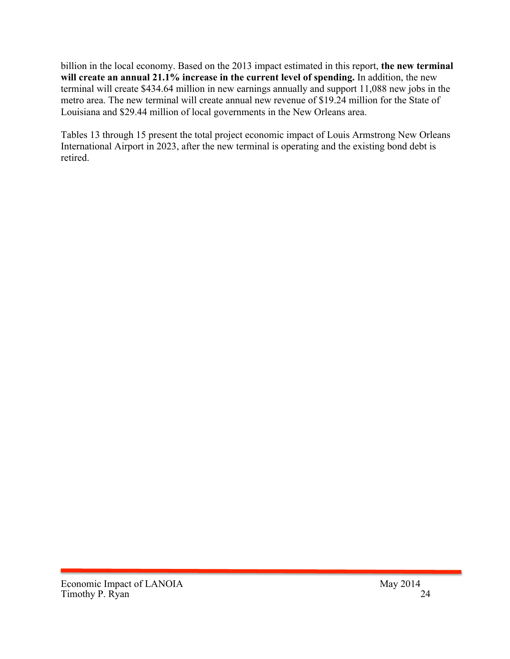billion in the local economy. Based on the 2013 impact estimated in this report, **the new terminal will create an annual 21.1% increase in the current level of spending.** In addition, the new terminal will create \$434.64 million in new earnings annually and support 11,088 new jobs in the metro area. The new terminal will create annual new revenue of \$19.24 million for the State of Louisiana and \$29.44 million of local governments in the New Orleans area.

Tables 13 through 15 present the total project economic impact of Louis Armstrong New Orleans International Airport in 2023, after the new terminal is operating and the existing bond debt is retired.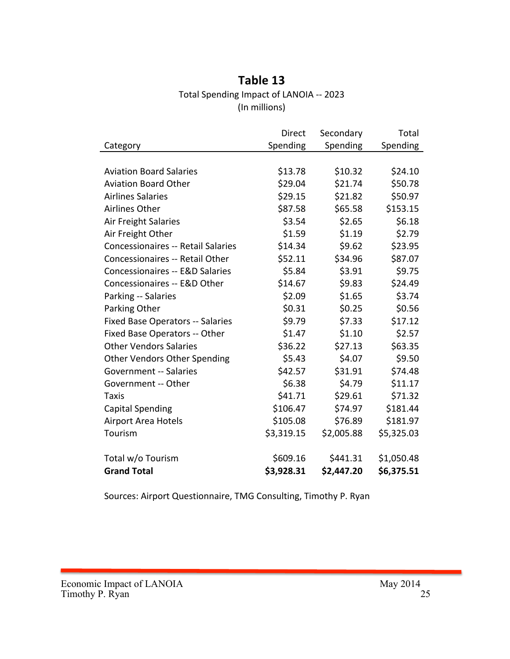## **Table 13** Total Spending Impact of LANOIA -- 2023 (In millions)

|                                           | Direct     | Secondary  | Total      |
|-------------------------------------------|------------|------------|------------|
| Category                                  | Spending   | Spending   | Spending   |
|                                           |            |            |            |
| <b>Aviation Board Salaries</b>            | \$13.78    | \$10.32    | \$24.10    |
| <b>Aviation Board Other</b>               | \$29.04    | \$21.74    | \$50.78    |
| <b>Airlines Salaries</b>                  | \$29.15    | \$21.82    | \$50.97    |
| Airlines Other                            | \$87.58    | \$65.58    | \$153.15   |
| Air Freight Salaries                      | \$3.54     | \$2.65     | \$6.18     |
| Air Freight Other                         | \$1.59     | \$1.19     | \$2.79     |
| <b>Concessionaires -- Retail Salaries</b> | \$14.34    | \$9.62     | \$23.95    |
| <b>Concessionaires -- Retail Other</b>    | \$52.11    | \$34.96    | \$87.07    |
| Concessionaires -- E&D Salaries           | \$5.84     | \$3.91     | \$9.75     |
| Concessionaires -- E&D Other              | \$14.67    | \$9.83     | \$24.49    |
| Parking -- Salaries                       | \$2.09     | \$1.65     | \$3.74     |
| Parking Other                             | \$0.31     | \$0.25     | \$0.56     |
| <b>Fixed Base Operators -- Salaries</b>   | \$9.79     | \$7.33     | \$17.12    |
| Fixed Base Operators -- Other             | \$1.47     | \$1.10     | \$2.57     |
| <b>Other Vendors Salaries</b>             | \$36.22    | \$27.13    | \$63.35    |
| <b>Other Vendors Other Spending</b>       | \$5.43     | \$4.07     | \$9.50     |
| <b>Government -- Salaries</b>             | \$42.57    | \$31.91    | \$74.48    |
| Government -- Other                       | \$6.38     | \$4.79     | \$11.17    |
| Taxis                                     | \$41.71    | \$29.61    | \$71.32    |
| <b>Capital Spending</b>                   | \$106.47   | \$74.97    | \$181.44   |
| <b>Airport Area Hotels</b>                | \$105.08   | \$76.89    | \$181.97   |
| Tourism                                   | \$3,319.15 | \$2,005.88 | \$5,325.03 |
|                                           |            |            |            |
| Total w/o Tourism                         | \$609.16   | \$441.31   | \$1,050.48 |
| <b>Grand Total</b>                        | \$3,928.31 | \$2,447.20 | \$6,375.51 |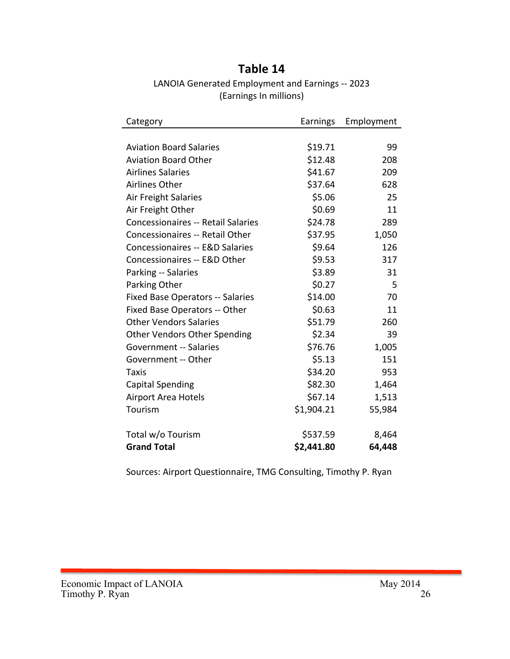## **Table 14**

LANOIA Generated Employment and Earnings -- 2023 (Earnings In millions)

| Category                                   | Earnings   | Employment |
|--------------------------------------------|------------|------------|
|                                            |            |            |
| <b>Aviation Board Salaries</b>             | \$19.71    | 99         |
| <b>Aviation Board Other</b>                | \$12.48    | 208        |
| <b>Airlines Salaries</b>                   | \$41.67    | 209        |
| <b>Airlines Other</b>                      | \$37.64    | 628        |
| Air Freight Salaries                       | \$5.06     | 25         |
| Air Freight Other                          | \$0.69     | 11         |
| <b>Concessionaires -- Retail Salaries</b>  | \$24.78    | 289        |
| Concessionaires -- Retail Other            | \$37.95    | 1,050      |
| <b>Concessionaires -- E&amp;D Salaries</b> | \$9.64     | 126        |
| Concessionaires -- E&D Other               | \$9.53     | 317        |
| Parking -- Salaries                        | \$3.89     | 31         |
| Parking Other                              | \$0.27     | 5          |
| <b>Fixed Base Operators -- Salaries</b>    | \$14.00    | 70         |
| Fixed Base Operators -- Other              | \$0.63     | 11         |
| <b>Other Vendors Salaries</b>              | \$51.79    | 260        |
| Other Vendors Other Spending               | \$2.34     | 39         |
| <b>Government -- Salaries</b>              | \$76.76    | 1,005      |
| Government -- Other                        | \$5.13     | 151        |
| Taxis                                      | \$34.20    | 953        |
| <b>Capital Spending</b>                    | \$82.30    | 1,464      |
| <b>Airport Area Hotels</b>                 | \$67.14    | 1,513      |
| Tourism                                    | \$1,904.21 | 55,984     |
| Total w/o Tourism                          | \$537.59   | 8,464      |
| <b>Grand Total</b>                         | \$2,441.80 | 64,448     |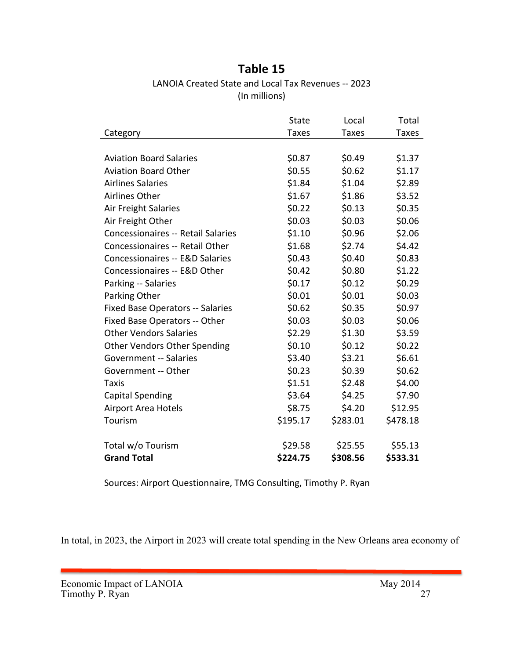## **Table 15**

LANOIA Created State and Local Tax Revenues -- 2023 (In millions)

|                                           | <b>State</b> | Local        | Total        |
|-------------------------------------------|--------------|--------------|--------------|
| Category                                  | <b>Taxes</b> | <b>Taxes</b> | <b>Taxes</b> |
|                                           |              |              |              |
| <b>Aviation Board Salaries</b>            | \$0.87       | \$0.49       | \$1.37       |
| <b>Aviation Board Other</b>               | \$0.55       | \$0.62       | \$1.17       |
| <b>Airlines Salaries</b>                  | \$1.84       | \$1.04       | \$2.89       |
| <b>Airlines Other</b>                     | \$1.67       | \$1.86       | \$3.52       |
| <b>Air Freight Salaries</b>               | \$0.22       | \$0.13       | \$0.35       |
| Air Freight Other                         | \$0.03       | \$0.03       | \$0.06       |
| <b>Concessionaires -- Retail Salaries</b> | \$1.10       | \$0.96       | \$2.06       |
| <b>Concessionaires -- Retail Other</b>    | \$1.68       | \$2.74       | \$4.42       |
| Concessionaires -- E&D Salaries           | \$0.43       | \$0.40       | \$0.83       |
| Concessionaires -- E&D Other              | \$0.42       | \$0.80       | \$1.22       |
| Parking -- Salaries                       | \$0.17       | \$0.12       | \$0.29       |
| Parking Other                             | \$0.01       | \$0.01       | \$0.03       |
| <b>Fixed Base Operators -- Salaries</b>   | \$0.62       | \$0.35       | \$0.97       |
| Fixed Base Operators -- Other             | \$0.03       | \$0.03       | \$0.06       |
| <b>Other Vendors Salaries</b>             | \$2.29       | \$1.30       | \$3.59       |
| <b>Other Vendors Other Spending</b>       | \$0.10       | \$0.12       | \$0.22       |
| <b>Government -- Salaries</b>             | \$3.40       | \$3.21       | \$6.61       |
| Government -- Other                       | \$0.23       | \$0.39       | \$0.62       |
| Taxis                                     | \$1.51       | \$2.48       | \$4.00       |
| <b>Capital Spending</b>                   | \$3.64       | \$4.25       | \$7.90       |
| <b>Airport Area Hotels</b>                | \$8.75       | \$4.20       | \$12.95      |
| Tourism                                   | \$195.17     | \$283.01     | \$478.18     |
|                                           |              |              |              |
| Total w/o Tourism                         | \$29.58      | \$25.55      | \$55.13      |
| <b>Grand Total</b>                        | \$224.75     | \$308.56     | \$533.31     |

Sources: Airport Questionnaire, TMG Consulting, Timothy P. Ryan

In total, in 2023, the Airport in 2023 will create total spending in the New Orleans area economy of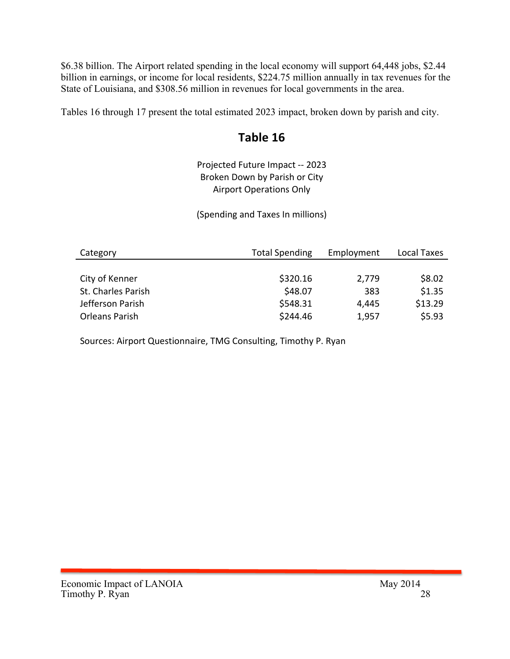\$6.38 billion. The Airport related spending in the local economy will support 64,448 jobs, \$2.44 billion in earnings, or income for local residents, \$224.75 million annually in tax revenues for the State of Louisiana, and \$308.56 million in revenues for local governments in the area.

Tables 16 through 17 present the total estimated 2023 impact, broken down by parish and city.

## Table 16

Projected Future Impact -- 2023 Broken Down by Parish or City **Airport Operations Only** 

(Spending and Taxes In millions)

| Category           | <b>Total Spending</b> | Employment | Local Taxes |
|--------------------|-----------------------|------------|-------------|
|                    |                       |            |             |
| City of Kenner     | \$320.16              | 2,779      | \$8.02      |
| St. Charles Parish | \$48.07               | 383        | \$1.35      |
| Jefferson Parish   | \$548.31              | 4,445      | \$13.29     |
| Orleans Parish     | \$244.46              | 1,957      | \$5.93      |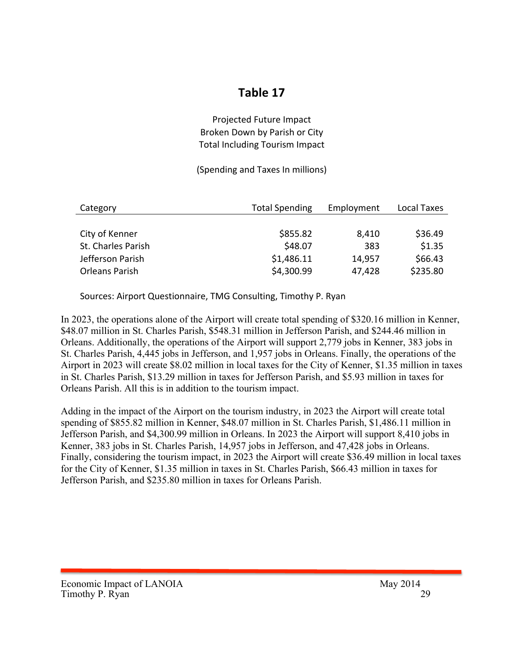## **Table 17**

#### Projected Future Impact Broken Down by Parish or City Total Including Tourism Impact

#### (Spending and Taxes In millions)

| Category           | <b>Total Spending</b> | Employment | Local Taxes |
|--------------------|-----------------------|------------|-------------|
|                    |                       |            |             |
| City of Kenner     | \$855.82              | 8,410      | \$36.49     |
| St. Charles Parish | \$48.07               | 383        | \$1.35      |
| Jefferson Parish   | \$1,486.11            | 14,957     | \$66.43     |
| Orleans Parish     | \$4,300.99            | 47,428     | \$235.80    |

Sources: Airport Questionnaire, TMG Consulting, Timothy P. Ryan

In 2023, the operations alone of the Airport will create total spending of \$320.16 million in Kenner, \$48.07 million in St. Charles Parish, \$548.31 million in Jefferson Parish, and \$244.46 million in Orleans. Additionally, the operations of the Airport will support 2,779 jobs in Kenner, 383 jobs in St. Charles Parish, 4,445 jobs in Jefferson, and 1,957 jobs in Orleans. Finally, the operations of the Airport in 2023 will create \$8.02 million in local taxes for the City of Kenner, \$1.35 million in taxes in St. Charles Parish, \$13.29 million in taxes for Jefferson Parish, and \$5.93 million in taxes for Orleans Parish. All this is in addition to the tourism impact.

Adding in the impact of the Airport on the tourism industry, in 2023 the Airport will create total spending of \$855.82 million in Kenner, \$48.07 million in St. Charles Parish, \$1,486.11 million in Jefferson Parish, and \$4,300.99 million in Orleans. In 2023 the Airport will support 8,410 jobs in Kenner, 383 jobs in St. Charles Parish, 14,957 jobs in Jefferson, and 47,428 jobs in Orleans. Finally, considering the tourism impact, in 2023 the Airport will create \$36.49 million in local taxes for the City of Kenner, \$1.35 million in taxes in St. Charles Parish, \$66.43 million in taxes for Jefferson Parish, and \$235.80 million in taxes for Orleans Parish.